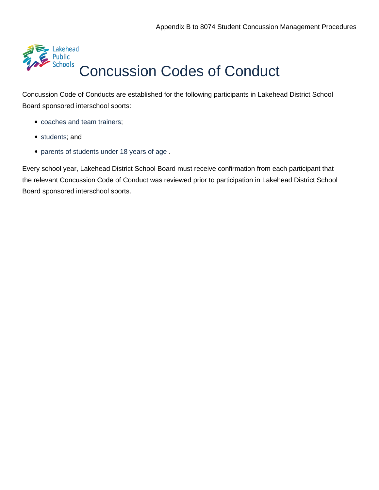

# [Concussion Codes of Conduct](https://contenthub.ophea.net/resources/1251)

Concussion Code of Conducts are established for the following participants in Lakehead District School Board sponsored interschool sports:

- [coaches and team trainers;](https://safety.ophea.net/resources/1247)
- [students;](https://safety.ophea.net/resources/1249) and
- [parents of students under 18 years of age .](https://safety.ophea.net/resources/1248)

Every school year, Lakehead District School Board must receive confirmation from each participant that the relevant Concussion Code of Conduct was reviewed prior to participation in Lakehead District School Board sponsored interschool sports.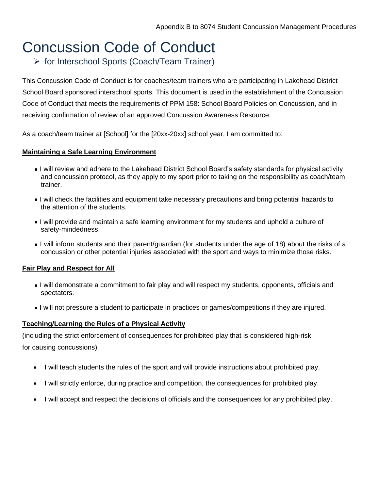# [Concussion Code of Conduct](https://contenthub.ophea.net/resources/1247)

➢ [for Interschool Sports \(Coach/Team](https://contenthub.ophea.net/resources/1247) [Trainer\)](https://contenthub.ophea.net/resources/1247)

This Concussion Code of Conduct is for coaches/team trainers who are participating in Lakehead District School Board sponsored interschool sports. This document is used in the establishment of the Concussion Code of Conduct that meets the requirements of PPM 158: School Board Policies on Concussion, and in receiving confirmation of review of an approved Concussion Awareness Resource.

As a coach/team trainer at [School] for the [20xx-20xx] school year, I am committed to:

#### **Maintaining a Safe Learning Environment**

- I will review and adhere to the Lakehead District School Board's safety standards for physical activity and concussion protocol, as they apply to my sport prior to taking on the responsibility as coach/team trainer.
- I will check the facilities and equipment take necessary precautions and bring potential hazards to the attention of the students.
- I will provide and maintain a safe learning environment for my students and uphold a culture of safety-mindedness.
- I will inform students and their parent/guardian (for students under the age of 18) about the risks of a concussion or other potential injuries associated with the sport and ways to minimize those risks.

#### **Fair Play and Respect for All**

- I will demonstrate a commitment to fair play and will respect my students, opponents, officials and spectators.
- I will not pressure a student to participate in practices or games/competitions if they are injured.

#### **Teaching/Learning the Rules of a Physical Activity**

(including the strict enforcement of consequences for prohibited play that is considered high-risk for causing concussions)

- I will teach students the rules of the sport and will provide instructions about prohibited play.
- I will strictly enforce, during practice and competition, the consequences for prohibited play.
- I will accept and respect the decisions of officials and the consequences for any prohibited play.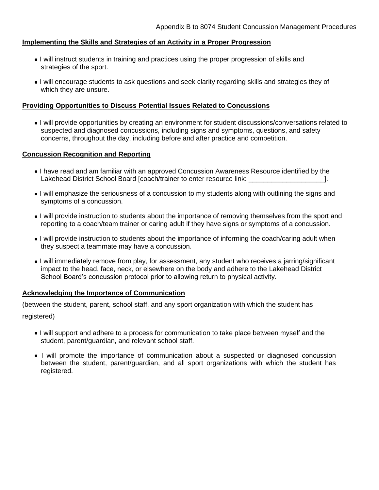#### **Implementing the Skills and Strategies of an Activity in a Proper Progression**

- I will instruct students in training and practices using the proper progression of skills and strategies of the sport.
- I will encourage students to ask questions and seek clarity regarding skills and strategies they of which they are unsure.

#### **Providing Opportunities to Discuss Potential Issues Related to Concussions**

I will provide opportunities by creating an environment for student discussions/conversations related to suspected and diagnosed concussions, including signs and symptoms, questions, and safety concerns, throughout the day, including before and after practice and competition.

#### **Concussion Recognition and Reporting**

- I have read and am familiar with an approved Concussion Awareness Resource identified by the Lakehead District School Board [coach/trainer to enter resource link: \_\_\_\_\_\_\_\_\_\_\_\_\_\_\_\_\_\_\_\_].
- I will emphasize the seriousness of a concussion to my students along with outlining the signs and symptoms of a concussion.
- I will provide instruction to students about the importance of removing themselves from the sport and reporting to a coach/team trainer or caring adult if they have signs or symptoms of a concussion.
- I will provide instruction to students about the importance of informing the coach/caring adult when they suspect a teammate may have a concussion.
- I will immediately remove from play, for assessment, any student who receives a jarring/significant impact to the head, face, neck, or elsewhere on the body and adhere to the Lakehead District School Board's concussion protocol prior to allowing return to physical activity.

#### **Acknowledging the Importance of Communication**

(between the student, parent, school staff, and any sport organization with which the student has registered)

- I will support and adhere to a process for communication to take place between myself and the student, parent/guardian, and relevant school staff.
- I will promote the importance of communication about a suspected or diagnosed concussion between the student, parent/guardian, and all sport organizations with which the student has registered.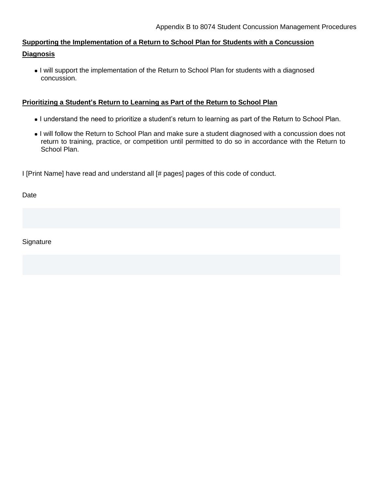### **Supporting the Implementation of a Return to School Plan for Students with a Concussion Diagnosis**

I will support the implementation of the Return to School Plan for students with a diagnosed concussion.

#### **Prioritizing a Student's Return to Learning as Part of the Return to School Plan**

- I understand the need to prioritize a student's return to learning as part of the Return to School Plan.
- I will follow the Return to School Plan and make sure a student diagnosed with a concussion does not return to training, practice, or competition until permitted to do so in accordance with the Return to School Plan.

I [Print Name] have read and understand all [# pages] pages of this code of conduct.

Date

**Signature**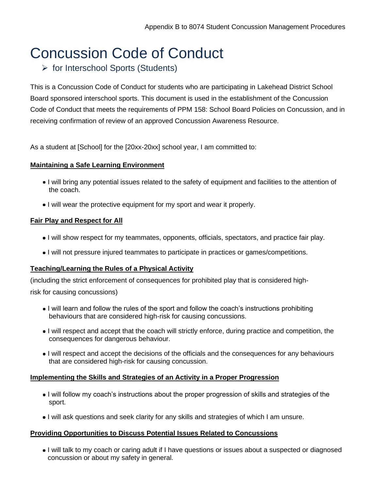# [Concussion Code of Conduct](https://contenthub.ophea.net/resources/1249)

## ➢ [for Interschool Sports \(Students\)](https://contenthub.ophea.net/resources/1249)

This is a Concussion Code of Conduct for students who are participating in Lakehead District School Board sponsored interschool sports. This document is used in the establishment of the Concussion Code of Conduct that meets the requirements of PPM 158: School Board Policies on Concussion, and in receiving confirmation of review of an approved Concussion Awareness Resource.

As a student at [School] for the [20xx-20xx] school year, I am committed to:

#### **Maintaining a Safe Learning Environment**

- I will bring any potential issues related to the safety of equipment and facilities to the attention of the coach.
- I will wear the protective equipment for my sport and wear it properly.

#### **Fair Play and Respect for All**

- I will show respect for my teammates, opponents, officials, spectators, and practice fair play.
- I will not pressure injured teammates to participate in practices or games/competitions.

#### **Teaching/Learning the Rules of a Physical Activity**

(including the strict enforcement of consequences for prohibited play that is considered high-

risk for causing concussions)

- I will learn and follow the rules of the sport and follow the coach's instructions prohibiting behaviours that are considered high-risk for causing concussions.
- I will respect and accept that the coach will strictly enforce, during practice and competition, the consequences for dangerous behaviour.
- I will respect and accept the decisions of the officials and the consequences for any behaviours that are considered high-risk for causing concussion.

#### **Implementing the Skills and Strategies of an Activity in a Proper Progression**

- I will follow my coach's instructions about the proper progression of skills and strategies of the sport.
- I will ask questions and seek clarity for any skills and strategies of which I am unsure.

#### **Providing Opportunities to Discuss Potential Issues Related to Concussions**

I will talk to my coach or caring adult if I have questions or issues about a suspected or diagnosed concussion or about my safety in general.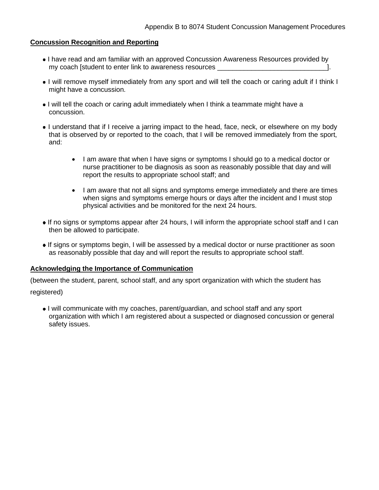#### **Concussion Recognition and Reporting**

- I have read and am familiar with an approved Concussion Awareness Resources provided by my coach [student to enter link to awareness resources \_\_\_\_\_\_\_\_\_\_\_\_\_\_\_\_\_\_\_\_\_\_\_\_\_
- I will remove myself immediately from any sport and will tell the coach or caring adult if I think I might have a concussion.
- I will tell the coach or caring adult immediately when I think a teammate might have a concussion.
- I understand that if I receive a jarring impact to the head, face, neck, or elsewhere on my body that is observed by or reported to the coach, that I will be removed immediately from the sport, and:
	- I am aware that when I have signs or symptoms I should go to a medical doctor or nurse practitioner to be diagnosis as soon as reasonably possible that day and will report the results to appropriate school staff; and
	- I am aware that not all signs and symptoms emerge immediately and there are times when signs and symptoms emerge hours or days after the incident and I must stop physical activities and be monitored for the next 24 hours.
- If no signs or symptoms appear after 24 hours, I will inform the appropriate school staff and I can then be allowed to participate.
- If signs or symptoms begin, I will be assessed by a medical doctor or nurse practitioner as soon as reasonably possible that day and will report the results to appropriate school staff.

#### **Acknowledging the Importance of Communication**

(between the student, parent, school staff, and any sport organization with which the student has

registered)

I will communicate with my coaches, parent/guardian, and school staff and any sport organization with which I am registered about a suspected or diagnosed concussion or general safety issues.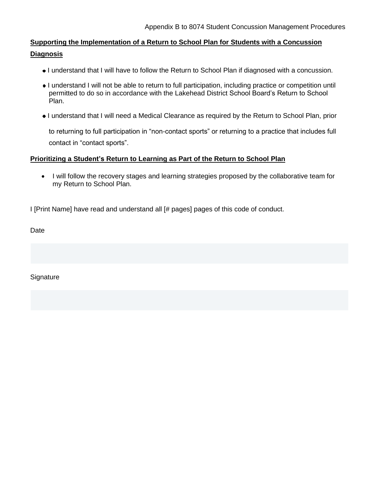### **Supporting the Implementation of a Return to School Plan for Students with a Concussion Diagnosis**

- I understand that I will have to follow the Return to School Plan if diagnosed with a concussion.
- I understand I will not be able to return to full participation, including practice or competition until permitted to do so in accordance with the Lakehead District School Board's Return to School Plan.
- I understand that I will need a Medical Clearance as required by the Return to School Plan, prior

to returning to full participation in "non-contact sports" or returning to a practice that includes full contact in "contact sports".

#### **Prioritizing a Student's Return to Learning as Part of the Return to School Plan**

• I will follow the recovery stages and learning strategies proposed by the collaborative team for my Return to School Plan.

I [Print Name] have read and understand all [# pages] pages of this code of conduct.

Date

**Signature**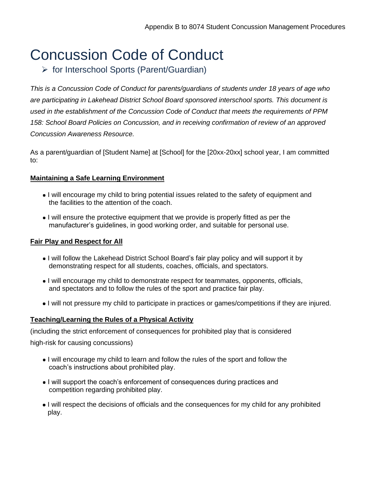# [Concussion Code of Conduct](https://contenthub.ophea.net/resources/1248)

➢ [for Interschool Sports \(Parent/Guardian\)](https://contenthub.ophea.net/resources/1248)

*This is a Concussion Code of Conduct for parents/guardians of students under 18 years of age who are participating in Lakehead District School Board sponsored interschool sports. This document is used in the establishment of the Concussion Code of Conduct that meets the requirements of PPM 158: School Board Policies on Concussion, and in receiving confirmation of review of an approved Concussion Awareness Resource.*

As a parent/guardian of [Student Name] at [School] for the [20xx-20xx] school year, I am committed to:

#### **Maintaining a Safe Learning Environment**

- I will encourage my child to bring potential issues related to the safety of equipment and the facilities to the attention of the coach.
- I will ensure the protective equipment that we provide is properly fitted as per the manufacturer's guidelines, in good working order, and suitable for personal use.

#### **Fair Play and Respect for All**

- I will follow the Lakehead District School Board's fair play policy and will support it by demonstrating respect for all students, coaches, officials, and spectators.
- I will encourage my child to demonstrate respect for teammates, opponents, officials, and spectators and to follow the rules of the sport and practice fair play.
- I will not pressure my child to participate in practices or games/competitions if they are injured.

#### **Teaching/Learning the Rules of a Physical Activity**

(including the strict enforcement of consequences for prohibited play that is considered

high-risk for causing concussions)

- I will encourage my child to learn and follow the rules of the sport and follow the coach's instructions about prohibited play.
- I will support the coach's enforcement of consequences during practices and competition regarding prohibited play.
- I will respect the decisions of officials and the consequences for my child for any prohibited play.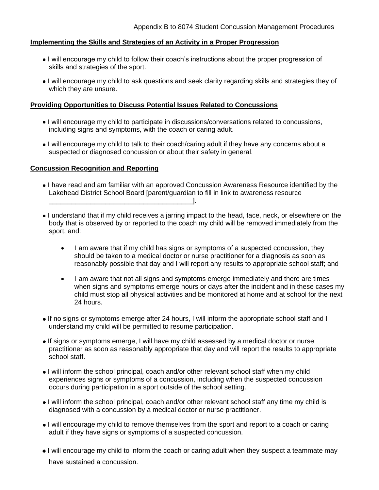#### **Implementing the Skills and Strategies of an Activity in a Proper Progression**

- I will encourage my child to follow their coach's instructions about the proper progression of skills and strategies of the sport.
- I will encourage my child to ask questions and seek clarity regarding skills and strategies they of which they are unsure.

#### **Providing Opportunities to Discuss Potential Issues Related to Concussions**

- I will encourage my child to participate in discussions/conversations related to concussions, including signs and symptoms, with the coach or caring adult.
- I will encourage my child to talk to their coach/caring adult if they have any concerns about a suspected or diagnosed concussion or about their safety in general.

#### **Concussion Recognition and Reporting**

\_\_\_\_\_\_\_\_\_\_\_\_\_\_\_\_\_\_\_\_\_\_\_\_\_\_\_\_\_\_\_\_\_\_\_\_\_\_].

- I have read and am familiar with an approved Concussion Awareness Resource identified by the Lakehead District School Board [parent/guardian to fill in link to awareness resource
- I understand that if my child receives a jarring impact to the head, face, neck, or elsewhere on the body that is observed by or reported to the coach my child will be removed immediately from the sport, and:
	- I am aware that if my child has signs or symptoms of a suspected concussion, they should be taken to a medical doctor or nurse practitioner for a diagnosis as soon as reasonably possible that day and I will report any results to appropriate school staff; and
	- I am aware that not all signs and symptoms emerge immediately and there are times when signs and symptoms emerge hours or days after the incident and in these cases my child must stop all physical activities and be monitored at home and at school for the next 24 hours.
- If no signs or symptoms emerge after 24 hours, I will inform the appropriate school staff and I understand my child will be permitted to resume participation.
- If signs or symptoms emerge, I will have my child assessed by a medical doctor or nurse practitioner as soon as reasonably appropriate that day and will report the results to appropriate school staff.
- I will inform the school principal, coach and/or other relevant school staff when my child experiences signs or symptoms of a concussion, including when the suspected concussion occurs during participation in a sport outside of the school setting.
- I will inform the school principal, coach and/or other relevant school staff any time my child is diagnosed with a concussion by a medical doctor or nurse practitioner.
- I will encourage my child to remove themselves from the sport and report to a coach or caring adult if they have signs or symptoms of a suspected concussion.
- I will encourage my child to inform the coach or caring adult when they suspect a teammate may have sustained a concussion.